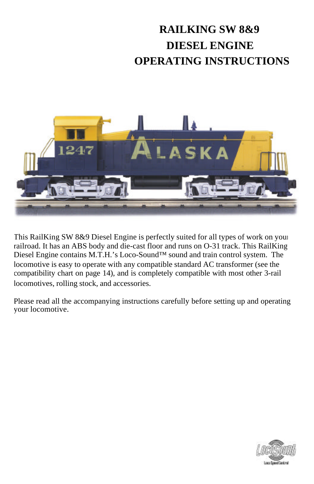# **RAILKING SW 8&9 DIESEL ENGINE OPERATING INSTRUCTIONS**



This RailKing SW 8&9 Diesel Engine is perfectly suited for all types of work on your railroad. It has an ABS body and die-cast floor and runs on O-31 track. This RailKing Diesel Engine contains M.T.H.'s Loco-Sound™ sound and train control system. The locomotive is easy to operate with any compatible standard AC transformer (see the compatibility chart on page 14), and is completely compatible with most other 3-rail locomotives, rolling stock, and accessories.

Please read all the accompanying instructions carefully before setting up and operating your locomotive.

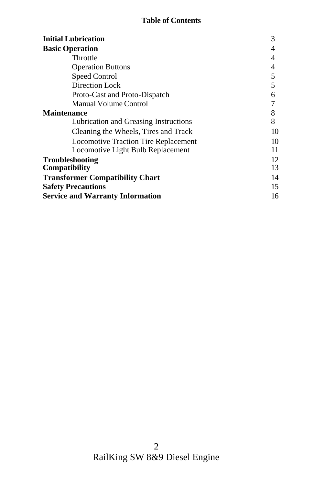#### **Table of Contents**

| <b>Initial Lubrication</b>                     | 3        |
|------------------------------------------------|----------|
| <b>Basic Operation</b>                         | 4        |
| Throttle                                       | 4        |
| <b>Operation Buttons</b>                       | 4        |
| Speed Control                                  | 5        |
| Direction Lock                                 | 5        |
| Proto-Cast and Proto-Dispatch                  | 6        |
| <b>Manual Volume Control</b>                   |          |
| <b>Maintenance</b>                             | 8        |
| Lubrication and Greasing Instructions          | 8        |
| Cleaning the Wheels, Tires and Track           | 10       |
| <b>Locomotive Traction Tire Replacement</b>    | 10       |
| Locomotive Light Bulb Replacement              | 11       |
| <b>Troubleshooting</b><br><b>Compatibility</b> | 12<br>13 |
| <b>Transformer Compatibility Chart</b>         | 14       |
| <b>Safety Precautions</b>                      | 15       |
| <b>Service and Warranty Information</b>        | 16       |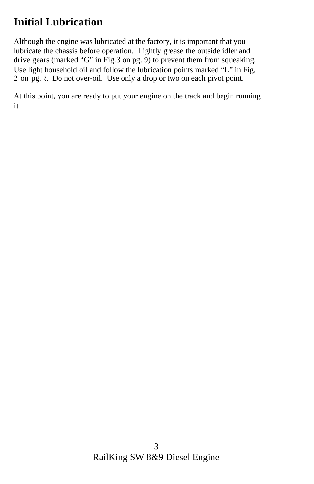## **Initial Lubrication**

Although the engine was lubricated at the factory, it is important that you lubricate the chassis before operation. Lightly grease the outside idler and drive gears (marked "G" in Fig. 3 on pg. 9) to prevent them from squeaking. Use light household oil and follow the lubrication points marked "L" in Fig. 2 on pg. 8. Do not over-oil. Use only a drop or two on each pivot point.

At this point, you are ready to put your engine on the track and begin running it.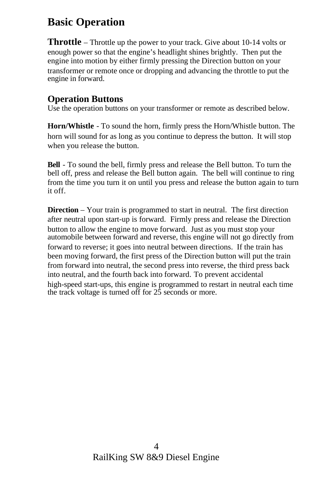## **Basic Operation**

**Throttle** – Throttle up the power to your track. Give about 10-14 volts or enough power so that the engine's headlight shines brightly. Then put the engine into motion by either firmly pressing the Direction button on your transformer or remote once or dropping and advancing the throttle to put the engine in forward.

#### **Operation Buttons**

Use the operation buttons on your transformer or remote as described below.

**Horn/Whistle** - To sound the horn, firmly press the Horn/Whistle button. The horn will sound for as long as you continue to depress the button. It will stop when you release the button.

**Bell** - To sound the bell, firmly press and release the Bell button. To turn the bell off, press and release the Bell button again. The bell will continue to ring from the time you turn it on until you press and release the button again to turn it off.

**Direction** – Your train is programmed to start in neutral. The first direction after neutral upon start-up is forward. Firmly press and release the Direction button to allow the engine to move forward. Just as you must stop your automobile between forward and reverse, this engine will not go directly from forward to reverse; it goes into neutral between directions. If the train has been moving forward, the first press of the Direction button will put the train from forward into neutral, the second press into reverse, the third press back into neutral, and the fourth back into forward. To prevent accidental high-speed start-ups, this engine is programmed to restart in neutral each time the track voltage is turned off for 25 seconds or more.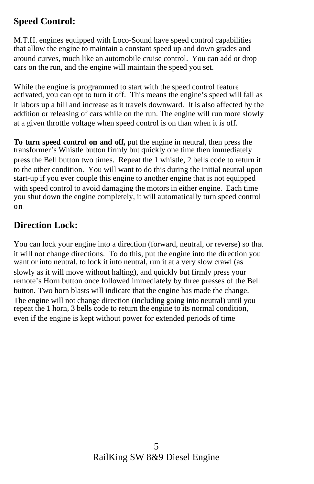#### **Speed Control:**

M.T.H. engines equipped with Loco-Sound have speed control capabilities that allow the engine to maintain a constant speed up and down grades and around curves, much like an automobile cruise control. You can add or drop cars on the run, and the engine will maintain the speed you set.

While the engine is programmed to start with the speed control feature activated, you can opt to turn it off. This means the engine's speed will fall as it labors up a hill and increase as it travels downward. It is also affected by the addition or releasing of cars while on the run. The engine will run more slowly at a given throttle voltage when speed control is on than when it is off.

**To turn speed control on and off,** put the engine in neutral, then press the transformer's Whistle button firmly but quickly one time then immediately press the Bell button two times. Repeat the 1 whistle, 2 bells code to return it to the other condition. You will want to do this during the initial neutral upon start-up if you ever couple this engine to another engine that is not equipped with speed control to avoid damaging the motors in either engine. Each time you shut down the engine completely, it will automatically turn speed control on.

#### **Direction Lock:**

You can lock your engine into a direction (forward, neutral, or reverse) so that it will not change directions. To do this, put the engine into the direction you want or into neutral, to lock it into neutral, run it at a very slow crawl (as slowly as it will move without halting), and quickly but firmly press your remote's Horn button once followed immediately by three presses of the Bell button. Two horn blasts will indicate that the engine has made the change. The engine will not change direction (including going into neutral) until you repeat the 1 horn, 3 bells code to return the engine to its normal condition, even if the engine is kept without power for extended periods of time.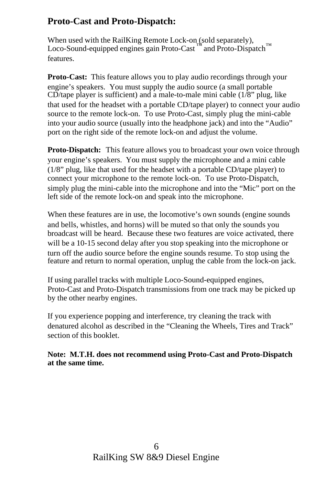#### **Proto-Cast and Proto-Dispatch:**

When used with the RailKing Remote Lock-on (sold separately), Loco-Sound-equipped engines gain Proto-Cast<sup>™</sup> and Proto-Dispatch™ features.

**Proto-Cast:** This feature allows you to play audio recordings through your engine's speakers. You must supply the audio source (a small portable  $CD$ /tape player is sufficient) and a male-to-male mini cable  $(1/8)$ " plug, like that used for the headset with a portable CD/tape player) to connect your audio source to the remote lock-on. To use Proto-Cast, simply plug the mini-cable into your audio source (usually into the headphone jack) and into the "Audio" port on the right side of the remote lock-on and adjust the volume.

**Proto-Dispatch:** This feature allows you to broadcast your own voice through your engine's speakers. You must supply the microphone and a mini cable (1/8" plug, like that used for the headset with a portable CD/tape player) to connect your microphone to the remote lock-on. To use Proto-Dispatch, simply plug the mini-cable into the microphone and into the "Mic" port on the left side of the remote lock-on and speak into the microphone.

When these features are in use, the locomotive's own sounds (engine sounds and bells, whistles, and horns) will be muted so that only the sounds you broadcast will be heard. Because these two features are voice activated, there will be a 10-15 second delay after you stop speaking into the microphone or turn off the audio source before the engine sounds resume. To stop using the feature and return to normal operation, unplug the cable from the lock-on jack.

If using parallel tracks with multiple Loco-Sound-equipped engines, Proto-Cast and Proto-Dispatch transmissions from one track may be picked up by the other nearby engines.

If you experience popping and interference, try cleaning the track with denatured alcohol as described in the "Cleaning the Wheels, Tires and Track" section of this booklet.

**Note: M.T.H. does not recommend using Proto-Cast and Proto-Dispatch at the same time.**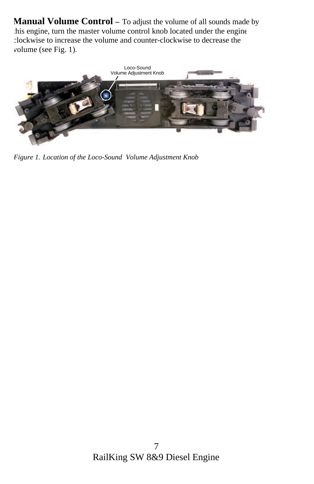**Manual Volume Control** – To adjust the volume of all sounds made by this engine, turn the master volume control knob located under the engine clockwise to increase the volume and counter-clockwise to decrease the volume (see Fig. 1).



*Figure 1. Location of the Loco-Sound Volume Adjustment Knob*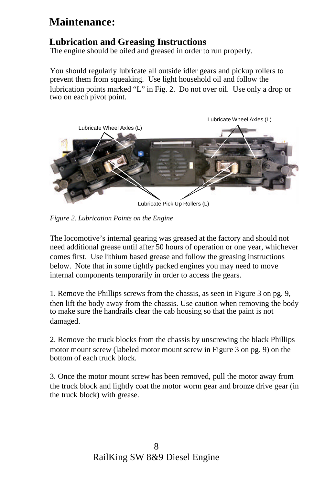### **Maintenance:**

#### **Lubrication and Greasing Instructions**

The engine should be oiled and greased in order to run properly.

You should regularly lubricate all outside idler gears and pickup rollers to prevent them from squeaking. Use light household oil and follow the lubrication points marked "L" in Fig. 2. Do not over oil. Use only a drop or two on each pivot point.



*Figure 2. Lubrication Points on the Engine*

The locomotive's internal gearing was greased at the factory and should not need additional grease until after 50 hours of operation or one year, whichever comes first. Use lithium based grease and follow the greasing instructions below. Note that in some tightly packed engines you may need to move internal components temporarily in order to access the gears.

1. Remove the Phillips screws from the chassis, as seen in Figure 3 on pg. 9, then lift the body away from the chassis. Use caution when removing the body to make sure the handrails clear the cab housing so that the paint is not damaged.

2. Remove the truck blocks from the chassis by unscrewing the black Phillips motor mount screw (labeled motor mount screw in Figure 3 on pg. 9) on the bottom of each truck block.

3. Once the motor mount screw has been removed, pull the motor away from the truck block and lightly coat the motor worm gear and bronze drive gear (in the truck block) with grease.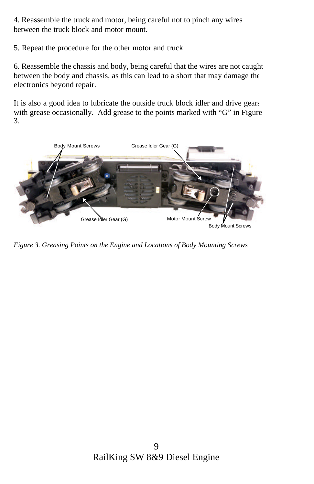4. Reassemble the truck and motor, being careful not to pinch any wires between the truck block and motor mount.

5. Repeat the procedure for the other motor and truck

6. Reassemble the chassis and body, being careful that the wires are not caught between the body and chassis, as this can lead to a short that may damage the electronics beyond repair.

It is also a good idea to lubricate the outside truck block idler and drive gears with grease occasionally. Add grease to the points marked with "G" in Figure 3.



*Figure 3. Greasing Points on the Engine and Locations of Body Mounting Screws*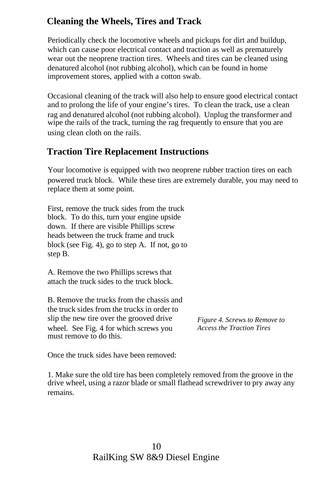#### **Cleaning the Wheels, Tires and Track**

Periodically check the locomotive wheels and pickups for dirt and buildup, which can cause poor electrical contact and traction as well as prematurely wear out the neoprene traction tires. Wheels and tires can be cleaned using denatured alcohol (not rubbing alcohol), which can be found in home improvement stores, applied with a cotton swab.

Occasional cleaning of the track will also help to ensure good electrical contact and to prolong the life of your engine's tires. To clean the track, use a clean rag and denatured alcohol (not rubbing alcohol). Unplug the transformer and wipe the rails of the track, turning the rag frequently to ensure that you are using clean cloth on the rails.

#### **Traction Tire Replacement Instructions**

Your locomotive is equipped with two neoprene rubber traction tires on each powered truck block. While these tires are extremely durable, you may need to replace them at some point.

First, remove the truck sides from the truck block. To do this, turn your engine upside down. If there are visible Phillips screw heads between the truck frame and truck block (see Fig. 4), go to step A. If not, go to step B.

A. Remove the two Phillips screws that attach the truck sides to the truck block.

B. Remove the trucks from the chassis and the truck sides from the trucks in order to slip the new tire over the grooved drive wheel. See Fig. 4 for which screws you must remove to do this.

*Figure 4. Screws to Remove to Access the Traction Tires*

Once the truck sides have been removed:

1. Make sure the old tire has been completely removed from the groove in the drive wheel, using a razor blade or small flathead screwdriver to pry away any remains.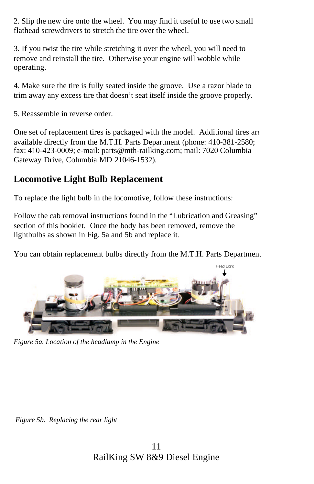2. Slip the new tire onto the wheel. You may find it useful to use two small flathead screwdrivers to stretch the tire over the wheel.

3. If you twist the tire while stretching it over the wheel, you will need to remove and reinstall the tire. Otherwise your engine will wobble while operating.

4. Make sure the tire is fully seated inside the groove. Use a razor blade to trim away any excess tire that doesn't seat itself inside the groove properly.

5. Reassemble in reverse order.

One set of replacement tires is packaged with the model. Additional tires are available directly from the M.T.H. Parts Department (phone: 410-381-2580; fax: 410-423-0009; e-mail: parts@mth-railking.com; mail: 7020 Columbia Gateway Drive, Columbia MD 21046-1532).

### **Locomotive Light Bulb Replacement**

To replace the light bulb in the locomotive, follow these instructions:

Follow the cab removal instructions found in the "Lubrication and Greasing" section of this booklet. Once the body has been removed, remove the lightbulbs as shown in Fig. 5a and 5b and replace it.

You can obtain replacement bulbs directly from the M.T.H. Parts Department.



*Figure 5a. Location of the headlamp in the Engine.*

*Figure 5b. Replacing the rear light*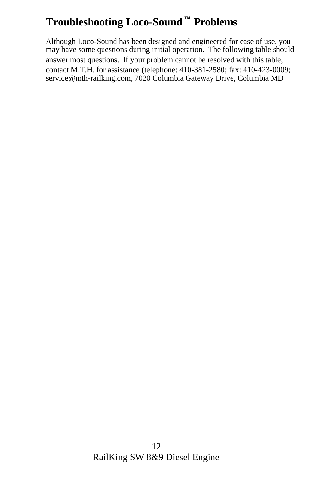## **Troubleshooting Loco-Sound ™ Problems**

Although Loco-Sound has been designed and engineered for ease of use, you may have some questions during initial operation. The following table should answer most questions. If your problem cannot be resolved with this table, contact M.T.H. for assistance (telephone: 410-381-2580; fax: 410-423-0009; service@mth-railking.com, 7020 Columbia Gateway Drive, Columbia MD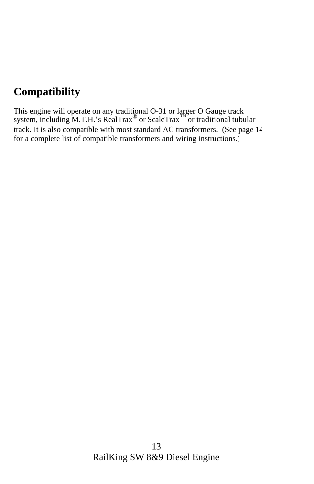## **Compatibility**

This engine will operate on any traditional O-31 or larger O Gauge track system, including M.T.H.'s RealTrax<sup>®</sup> or ScaleTrax<sup>™</sup> or traditional tubular track. It is also compatible with most standard AC transformers. (See page 14 for a complete list of compatible transformers and wiring instructions.)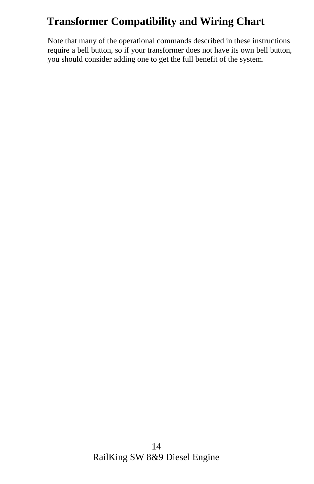## **Transformer Compatibility and Wiring Chart**

Note that many of the operational commands described in these instructions require a bell button, so if your transformer does not have its own bell button, you should consider adding one to get the full benefit of the system.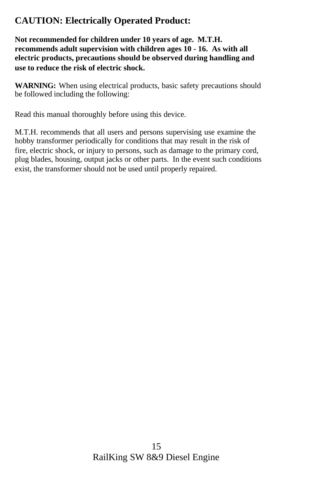### **CAUTION: Electrically Operated Product:**

**Not recommended for children under 10 years of age. M.T.H. recommends adult supervision with children ages 10 - 16. As with all electric products, precautions should be observed during handling and use to reduce the risk of electric shock.**

**WARNING:** When using electrical products, basic safety precautions should be followed including the following:

Read this manual thoroughly before using this device.

M.T.H. recommends that all users and persons supervising use examine the hobby transformer periodically for conditions that may result in the risk of fire, electric shock, or injury to persons, such as damage to the primary cord, plug blades, housing, output jacks or other parts. In the event such conditions exist, the transformer should not be used until properly repaired.